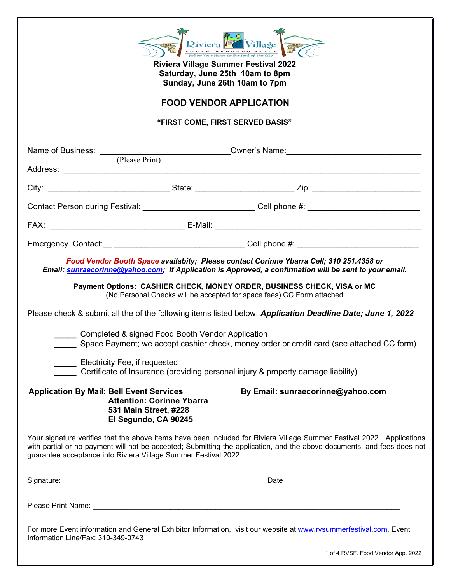| Riviera Village<br><b>Riviera Village Summer Festival 2022</b><br>Saturday, June 25th 10am to 8pm<br>Sunday, June 26th 10am to 7pm   |                                                                                                                                                                                                                                                                                                                                                                                                                                                                                                                                                                                                                                                       |  |  |  |  |
|--------------------------------------------------------------------------------------------------------------------------------------|-------------------------------------------------------------------------------------------------------------------------------------------------------------------------------------------------------------------------------------------------------------------------------------------------------------------------------------------------------------------------------------------------------------------------------------------------------------------------------------------------------------------------------------------------------------------------------------------------------------------------------------------------------|--|--|--|--|
| <b>FOOD VENDOR APPLICATION</b>                                                                                                       |                                                                                                                                                                                                                                                                                                                                                                                                                                                                                                                                                                                                                                                       |  |  |  |  |
| "FIRST COME, FIRST SERVED BASIS"                                                                                                     |                                                                                                                                                                                                                                                                                                                                                                                                                                                                                                                                                                                                                                                       |  |  |  |  |
|                                                                                                                                      | Name of Business: <u>Community Community Community Community Community Community Community Community Community Community Community Community Community Community Community Community Community Community Community Community Com</u>                                                                                                                                                                                                                                                                                                                                                                                                                  |  |  |  |  |
|                                                                                                                                      |                                                                                                                                                                                                                                                                                                                                                                                                                                                                                                                                                                                                                                                       |  |  |  |  |
|                                                                                                                                      |                                                                                                                                                                                                                                                                                                                                                                                                                                                                                                                                                                                                                                                       |  |  |  |  |
|                                                                                                                                      | Contact Person during Festival: ____________________________Cell phone #: __________________________                                                                                                                                                                                                                                                                                                                                                                                                                                                                                                                                                  |  |  |  |  |
|                                                                                                                                      |                                                                                                                                                                                                                                                                                                                                                                                                                                                                                                                                                                                                                                                       |  |  |  |  |
|                                                                                                                                      |                                                                                                                                                                                                                                                                                                                                                                                                                                                                                                                                                                                                                                                       |  |  |  |  |
| Completed & signed Food Booth Vendor Application<br>Electricity Fee, if requested                                                    | Food Vendor Booth Space availabity; Please contact Corinne Ybarra Cell; 310 251.4358 or<br>Email: sunraecorinne@yahoo.com; If Application is Approved, a confirmation will be sent to your email.<br>Payment Options: CASHIER CHECK, MONEY ORDER, BUSINESS CHECK, VISA or MC<br>(No Personal Checks will be accepted for space fees) CC Form attached.<br>Please check & submit all the of the following items listed below: Application Deadline Date; June 1, 2022<br>Space Payment; we accept cashier check, money order or credit card (see attached CC form)<br>Certificate of Insurance (providing personal injury & property damage liability) |  |  |  |  |
| <b>Application By Mail: Bell Event Services</b><br><b>Attention: Corinne Ybarra</b><br>531 Main Street, #228<br>El Segundo, CA 90245 | By Email: sunraecorinne@yahoo.com                                                                                                                                                                                                                                                                                                                                                                                                                                                                                                                                                                                                                     |  |  |  |  |
| guarantee acceptance into Riviera Village Summer Festival 2022.                                                                      | Your signature verifies that the above items have been included for Riviera Village Summer Festival 2022. Applications<br>with partial or no payment will not be accepted; Submitting the application, and the above documents, and fees does not                                                                                                                                                                                                                                                                                                                                                                                                     |  |  |  |  |
|                                                                                                                                      |                                                                                                                                                                                                                                                                                                                                                                                                                                                                                                                                                                                                                                                       |  |  |  |  |
|                                                                                                                                      |                                                                                                                                                                                                                                                                                                                                                                                                                                                                                                                                                                                                                                                       |  |  |  |  |
| Information Line/Fax: 310-349-0743                                                                                                   | For more Event information and General Exhibitor Information, visit our website at www.rvsummerfestival.com. Event                                                                                                                                                                                                                                                                                                                                                                                                                                                                                                                                    |  |  |  |  |

1 of 4 RVSF. Food Vendor App. 2022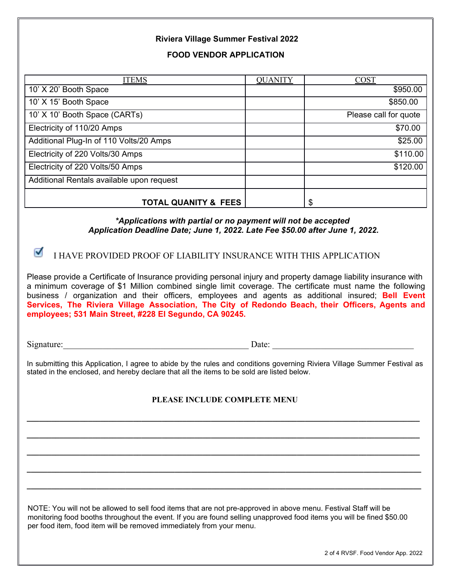## **Riviera Village Summer Festival 2022**

#### **FOOD VENDOR APPLICATION**

| <b>ITEMS</b>                              | <b>QUANITY</b> | COST                  |
|-------------------------------------------|----------------|-----------------------|
| 10' X 20' Booth Space                     |                | \$950.00              |
| 10' X 15' Booth Space                     |                | \$850.00              |
| 10' X 10' Booth Space (CARTs)             |                | Please call for quote |
| Electricity of 110/20 Amps                |                | \$70.00               |
| Additional Plug-In of 110 Volts/20 Amps   |                | \$25.00               |
| Electricity of 220 Volts/30 Amps          |                | \$110.00              |
| Electricity of 220 Volts/50 Amps          |                | \$120.00              |
| Additional Rentals available upon request |                |                       |
| <b>TOTAL QUANITY &amp; FEES</b>           |                | \$                    |

#### *\*Applications with partial or no payment will not be accepted Application Deadline Date; June 1, 2022. Late Fee \$50.00 after June 1, 2022.*

**I HAVE PROVIDED PROOF OF LIABILITY INSURANCE WITH THIS APPLICATION** 

Please provide a Certificate of Insurance providing personal injury and property damage liability insurance with a minimum coverage of \$1 Million combined single limit coverage. The certificate must name the following business / organization and their officers, employees and agents as additional insured; **Bell Event Services, The Riviera Village Association, The City of Redondo Beach, their Officers, Agents and employees; 531 Main Street, #228 El Segundo, CA 90245.**

Signature:\_\_\_\_\_\_\_\_\_\_\_\_\_\_\_\_\_\_\_\_\_\_\_\_\_\_\_\_\_\_\_\_\_\_\_\_\_\_\_\_\_\_ Date: \_\_\_\_\_\_\_\_\_\_\_\_\_\_\_\_\_\_\_\_\_\_\_\_\_\_\_\_\_\_\_\_

In submitting this Application, I agree to abide by the rules and conditions governing Riviera Village Summer Festival as stated in the enclosed, and hereby declare that all the items to be sold are listed below.

## **PLEASE INCLUDE COMPLETE MENU**

**\_\_\_\_\_\_\_\_\_\_\_\_\_\_\_\_\_\_\_\_\_\_\_\_\_\_\_\_\_\_\_\_\_\_\_\_\_\_\_\_\_\_\_\_\_\_\_\_\_\_\_\_\_\_\_\_\_\_\_\_\_\_\_\_\_\_\_\_\_\_\_\_\_\_\_\_\_\_\_\_\_\_\_\_\_\_\_\_\_\_\_\_\_\_\_\_**

**\_\_\_\_\_\_\_\_\_\_\_\_\_\_\_\_\_\_\_\_\_\_\_\_\_\_\_\_\_\_\_\_\_\_\_\_\_\_\_\_\_\_\_\_\_\_\_\_\_\_\_\_\_\_\_\_\_\_\_\_\_\_\_\_\_\_\_\_\_\_\_\_\_\_\_\_\_\_\_\_\_\_\_\_\_\_\_\_\_\_\_\_\_\_\_\_**

**\_\_\_\_\_\_\_\_\_\_\_\_\_\_\_\_\_\_\_\_\_\_\_\_\_\_\_\_\_\_\_\_\_\_\_\_\_\_\_\_\_\_\_\_\_\_\_\_\_\_\_\_\_\_\_\_\_\_\_\_\_\_\_\_\_\_\_\_\_\_\_\_\_\_\_\_\_\_\_\_\_\_\_\_\_\_\_\_\_\_\_\_\_\_\_\_**

**\_\_\_\_\_\_\_\_\_\_\_\_\_\_\_\_\_\_\_\_\_\_\_\_\_\_\_\_\_\_\_\_\_\_\_\_\_\_\_\_\_\_\_\_\_\_\_\_\_\_\_\_\_\_\_\_\_\_\_\_\_\_\_\_\_\_\_\_\_\_\_\_\_\_\_\_\_\_\_\_\_\_\_\_\_\_\_\_\_\_\_\_\_\_\_\_**

**\_\_\_\_\_\_\_\_\_\_\_\_\_\_\_\_\_\_\_\_\_\_\_\_\_\_\_\_\_\_\_\_\_\_\_\_\_\_\_\_\_\_\_\_\_\_\_\_\_\_\_\_\_\_\_\_\_\_\_\_\_\_\_\_\_\_\_\_\_\_\_\_\_\_\_\_\_\_\_\_\_\_\_\_\_\_\_\_\_\_\_\_\_\_\_\_**

NOTE: You will not be allowed to sell food items that are not pre-approved in above menu. Festival Staff will be monitoring food booths throughout the event. If you are found selling unapproved food items you will be fined \$50.00 per food item, food item will be removed immediately from your menu.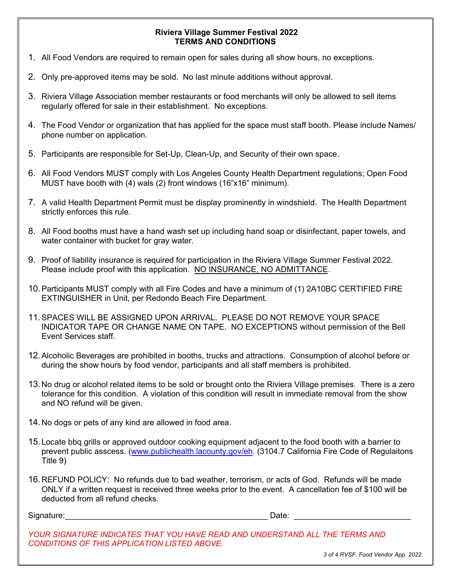## **Riviera Village Summer Festival 2022 TERMS AND CONDITIONS**

- 1. All Food Vendors are required to remain open for sales during all show hours, no exceptions.
- 2. Only pre-approved items may be sold. No last minute additions without approval.
- 3. Riviera Village Association member restaurants or food merchants will only be allowed to sell items regularly offered for sale in their establishment. No exceptions.
- 4. The Food Vendor or organization that has applied for the space must staff booth. Please include Names/ phone number on application.
- 5. Participants are responsible for Set-Up, Clean-Up, and Security of their own space.
- 6. All Food Vendors MUST comply with Los Angeles County Health Department regulations; Open Food MUST have booth with (4) wals (2) front windows (16"x16" minimum).
- 7. A valid Health Department Permit must be display prominently in windshield. The Health Department strictly enforces this rule.
- 8. All Food booths must have a hand wash set up including hand soap or disinfectant, paper towels, and water container with bucket for gray water.
- 9. Proof of liability insurance is required for participation in the Riviera Village Summer Festival 2022. Please include proof with this application. NO INSURANCE, NO ADMITTANCE.
- 10.Participants MUST comply with all Fire Codes and have a minimum of (1) 2A10BC CERTIFIED FIRE EXTINGUISHER in Unit, per Redondo Beach Fire Department.
- 11.SPACES WILL BE ASSIGNED UPON ARRIVAL. PLEASE DO NOT REMOVE YOUR SPACE INDICATOR TAPE OR CHANGE NAME ON TAPE. NO EXCEPTIONS without permission of the Bell Event Services staff.
- 12.Alcoholic Beverages are prohibited in booths, trucks and attractions. Consumption of alcohol before or during the show hours by food vendor, participants and all staff members is prohibited.
- 13.No drug or alcohol related items to be sold or brought onto the Riviera Village premises. There is a zero tolerance for this condition. A violation of this condition will result in immediate removal from the show and NO refund will be given.
- 14.No dogs or pets of any kind are allowed in food area.
- 15.Locate bbq grills or approved outdoor cooking equipment adjacent to the food booth with a barrier to prevent public asscess. (www.publichealth.lacounty.gov/eh. (3104.7 California Fire Code of Regulaitons Title 9)
- 16.REFUND POLICY: No refunds due to bad weather, terrorism, or acts of God. Refunds will be made ONLY if a written request is received three weeks prior to the event. A cancellation fee of \$100 will be deducted from all refund checks.

Signature: etc. and the set of the set of the set of the set of the set of the set of the set of the set of the set of the set of the set of the set of the set of the set of the set of the set of the set of the set of the

*YOUR SIGNATURE INDICATES THAT YOU HAVE READ AND UNDERSTAND ALL THE TERMS AND CONDITIONS OF THIS APPLICATION LISTED ABOVE.* 

*3 of 4 RVSF. Food Vendor App. 2022*